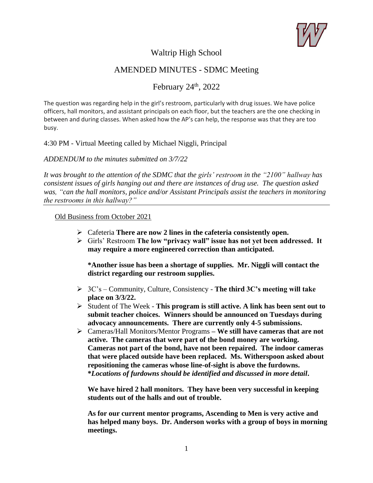

## Waltrip High School

# AMENDED MINUTES - SDMC Meeting

February  $24<sup>th</sup>$ ,  $2022$ 

The question was regarding help in the girl's restroom, particularly with drug issues. We have police officers, hall monitors, and assistant principals on each floor, but the teachers are the one checking in between and during classes. When asked how the AP's can help, the response was that they are too busy.

## 4:30 PM - Virtual Meeting called by Michael Niggli, Principal

*ADDENDUM to the minutes submitted on 3/7/22*

*It was brought to the attention of the SDMC that the girls' restroom in the "2100" hallway has consistent issues of girls hanging out and there are instances of drug use. The question asked was, "can the hall monitors, police and/or Assistant Principals assist the teachers in monitoring the restrooms in this hallway?"*

#### Old Business from October 2021

- ➢ Cafeteria **There are now 2 lines in the cafeteria consistently open.**
- ➢ Girls' Restroom **The low "privacy wall" issue has not yet been addressed. It may require a more engineered correction than anticipated.**

**\*Another issue has been a shortage of supplies. Mr. Niggli will contact the district regarding our restroom supplies.**

- ➢ 3C's Community, Culture, Consistency **The third 3C's meeting will take place on 3/3/22.**
- ➢ Student of The Week **This program is still active. A link has been sent out to submit teacher choices. Winners should be announced on Tuesdays during advocacy announcements. There are currently only 4-5 submissions.**
- ➢ Cameras/Hall Monitors/Mentor Programs **– We still have cameras that are not active. The cameras that were part of the bond money are working. Cameras not part of the bond, have not been repaired. The indoor cameras that were placed outside have been replaced. Ms. Witherspoon asked about repositioning the cameras whose line-of-sight is above the furdowns. \****Locations of furdowns should be identified and discussed in more detail***.**

**We have hired 2 hall monitors. They have been very successful in keeping students out of the halls and out of trouble.** 

**As for our current mentor programs, Ascending to Men is very active and has helped many boys. Dr. Anderson works with a group of boys in morning meetings.**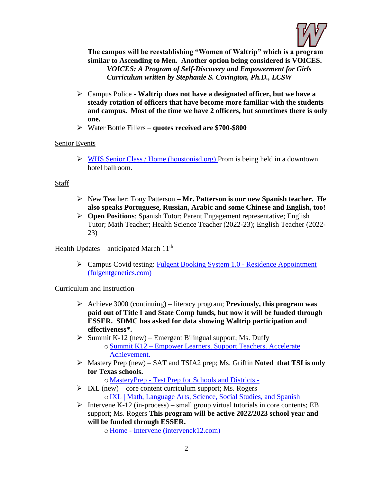

**The campus will be reestablishing "Women of Waltrip" which is a program similar to Ascending to Men. Another option being considered is VOICES.** *VOICES: A Program of Self-Discovery and Empowerment for Girls Curriculum written by Stephanie S. Covington, Ph.D., LCSW*

- ➢ Campus Police **- Waltrip does not have a designated officer, but we have a steady rotation of officers that have become more familiar with the students and campus. Most of the time we have 2 officers, but sometimes there is only one.**
- ➢ Water Bottle Fillers **quotes received are \$700-\$800**

## Senior Events

➢ [WHS Senior Class / Home \(houstonisd.org\)](https://www.houstonisd.org/site/default.aspx?DomainID=45345) Prom is being held in a downtown hotel ballroom.

## Staff

- ➢ New Teacher: Tony Patterson **– Mr. Patterson is our new Spanish teacher. He also speaks Portuguese, Russian, Arabic and some Chinese and English, too!**
- ➢ **Open Positions**: Spanish Tutor; Parent Engagement representative; English Tutor; Math Teacher; Health Science Teacher (2022-23); English Teacher (2022- 23)

Health Updates – anticipated March  $11<sup>th</sup>$ 

➢ Campus Covid testing: [Fulgent Booking System 1.0 -](https://backtoschool.fulgentgenetics.com/hisd/residence_appointment/screen/landing) Residence Appointment [\(fulgentgenetics.com\)](https://backtoschool.fulgentgenetics.com/hisd/residence_appointment/screen/landing)

#### Curriculum and Instruction

- ➢ Achieve 3000 (continuing) literacy program; **Previously, this program was paid out of Title I and State Comp funds, but now it will be funded through ESSER. SDMC has asked for data showing Waltrip participation and effectiveness\*.**
- $\triangleright$  Summit K-12 (new) Emergent Bilingual support; Ms. Duffy oSummit K12 – [Empower Learners. Support Teachers. Accelerate](https://www.summitk12.com/)  [Achievement.](https://www.summitk12.com/)
- ➢ Mastery Prep (new) SAT and TSIA2 prep; Ms. Griffin **Noted that TSI is only for Texas schools.**
	- o MasteryPrep [Test Prep for Schools and Districts -](https://masteryprep.com/)
- $\triangleright$  IXL (new) core content curriculum support; Ms. Rogers o[IXL | Math, Language Arts, Science, Social Studies, and Spanish](https://www.ixl.com/)
- $\triangleright$  Intervene K-12 (in-process) small group virtual tutorials in core contents; EB support; Ms. Rogers **This program will be active 2022/2023 school year and will be funded through ESSER.**

o Home - [Intervene \(intervenek12.com\)](https://intervenek12.com/)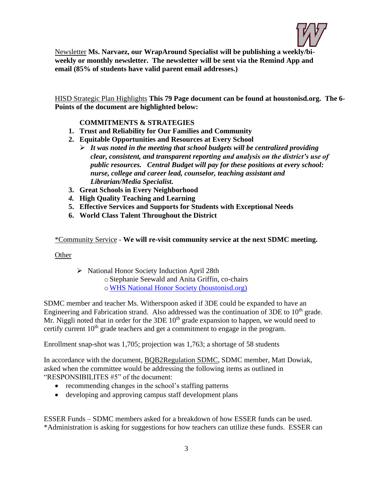

Newsletter **Ms. Narvaez, our WrapAround Specialist will be publishing a weekly/biweekly or monthly newsletter. The newsletter will be sent via the Remind App and email (85% of students have valid parent email addresses.)**

HISD Strategic Plan Highlights **This 79 Page document can be found at houstonisd.org. The 6- Points of the document are highlighted below:**

## **COMMITMENTS & STRATEGIES**

- **1. Trust and Reliability for Our Families and Community**
- **2. Equitable Opportunities and Resources at Every School** 
	- ➢ *It was noted in the meeting that school budgets will be centralized providing clear, consistent, and transparent reporting and analysis on the district's use of public resources. Central Budget will pay for these positions at every school: nurse, college and career lead, counselor, teaching assistant and Librarian/Media Specialist.*
- **3. Great Schools in Every Neighborhood**
- *4.* **High Quality Teaching and Learning**
- **5. Effective Services and Supports for Students with Exceptional Needs**
- **6. World Class Talent Throughout the District**

\*Community Service - **We will re-visit community service at the next SDMC meeting.**

#### **Other**

➢ National Honor Society Induction April 28th oStephanie Seewald and Anita Griffin, co-chairs

o[WHS National Honor Society \(houstonisd.org\)](https://www.houstonisd.org/site/default.aspx?PageType=3&DomainID=2131&ModuleInstanceID=181534&ViewID=6446EE88-D30C-497E-9316-3F8874B3E108&RenderLoc=0&FlexDataID=355449&PageID=7893)

SDMC member and teacher Ms. Witherspoon asked if 3DE could be expanded to have an Engineering and Fabrication strand. Also addressed was the continuation of 3DE to 10<sup>th</sup> grade. Mr. Niggli noted that in order for the 3DE  $10<sup>th</sup>$  grade expansion to happen, we would need to certify current 10<sup>th</sup> grade teachers and get a commitment to engage in the program.

Enrollment snap-shot was 1,705; projection was 1,763; a shortage of 58 students

In accordance with the document, BQB2Regulation SDMC, SDMC member, Matt Dowiak, asked when the committee would be addressing the following items as outlined in "RESPONSIBILITES #5" of the document:

- recommending changes in the school's staffing patterns
- developing and approving campus staff development plans

ESSER Funds – SDMC members asked for a breakdown of how ESSER funds can be used. \*Administration is asking for suggestions for how teachers can utilize these funds. ESSER can